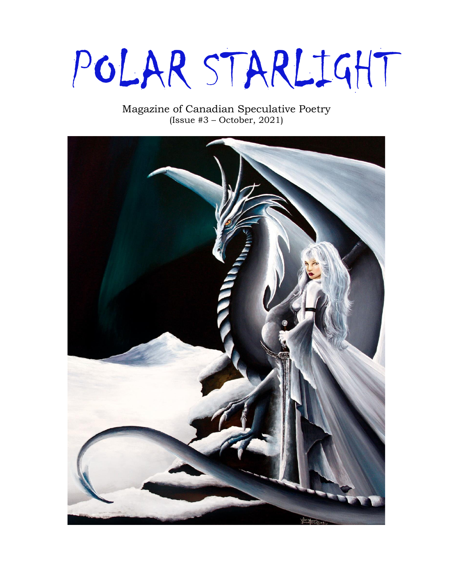# POLAR STARLIGHT

#### Magazine of Canadian Speculative Poetry (Issue #3 – October, 2021)

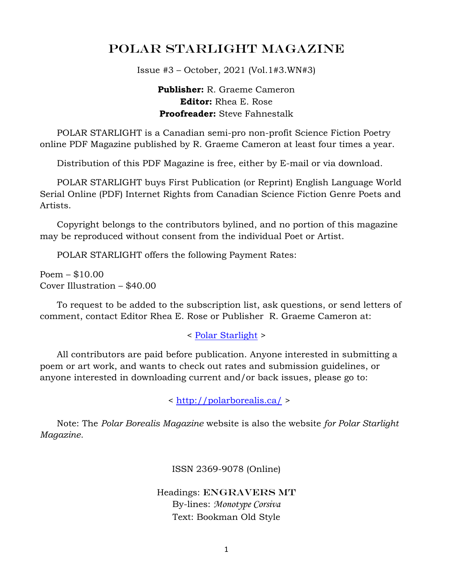## POLAR STARLIGHT Magazine

Issue #3 – October, 2021 (Vol.1#3.WN#3)

**Publisher:** R. Graeme Cameron **Editor:** Rhea E. Rose **Proofreader:** Steve Fahnestalk

 POLAR STARLIGHT is a Canadian semi-pro non-profit Science Fiction Poetry online PDF Magazine published by R. Graeme Cameron at least four times a year.

Distribution of this PDF Magazine is free, either by E-mail or via download.

 POLAR STARLIGHT buys First Publication (or Reprint) English Language World Serial Online (PDF) Internet Rights from Canadian Science Fiction Genre Poets and Artists.

 Copyright belongs to the contributors bylined, and no portion of this magazine may be reproduced without consent from the individual Poet or Artist.

POLAR STARLIGHT offers the following Payment Rates:

Poem – \$10.00 Cover Illustration – \$40.00

 To request to be added to the subscription list, ask questions, or send letters of comment, contact Editor Rhea E. Rose or Publisher R. Graeme Cameron at:

< [Polar Starlight](mailto:polar.borealis.magazine@gmail.com) >

 All contributors are paid before publication. Anyone interested in submitting a poem or art work, and wants to check out rates and submission guidelines, or anyone interested in downloading current and/or back issues, please go to:

<<http://polarborealis.ca/> >

 Note: The *Polar Borealis Magazine* website is also the website *for Polar Starlight Magazine.*

ISSN 2369-9078 (Online)

Headings: ENGRAVERS MT By-lines: *Monotype Corsiva* Text: Bookman Old Style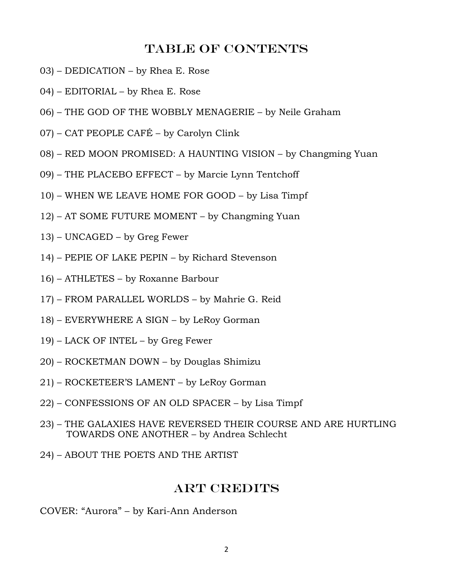#### Table of contents

- 03) DEDICATION by Rhea E. Rose
- 04) EDITORIAL by Rhea E. Rose
- 06) THE GOD OF THE WOBBLY MENAGERIE by Neile Graham
- 07) CAT PEOPLE CAFÉ by Carolyn Clink
- 08) RED MOON PROMISED: A HAUNTING VISION by Changming Yuan
- 09) THE PLACEBO EFFECT by Marcie Lynn Tentchoff
- 10) WHEN WE LEAVE HOME FOR GOOD by Lisa Timpf
- 12) AT SOME FUTURE MOMENT by Changming Yuan
- 13) UNCAGED by Greg Fewer
- 14) PEPIE OF LAKE PEPIN by Richard Stevenson
- 16) ATHLETES by Roxanne Barbour
- 17) FROM PARALLEL WORLDS by Mahrie G. Reid
- 18) EVERYWHERE A SIGN by LeRoy Gorman
- 19) LACK OF INTEL by Greg Fewer
- 20) ROCKETMAN DOWN by Douglas Shimizu
- 21) ROCKETEER'S LAMENT by LeRoy Gorman
- 22) CONFESSIONS OF AN OLD SPACER by Lisa Timpf
- 23) THE GALAXIES HAVE REVERSED THEIR COURSE AND ARE HURTLING TOWARDS ONE ANOTHER – by Andrea Schlecht
- 24) ABOUT THE POETS AND THE ARTIST

#### Art Credits

COVER: "Aurora" – by Kari-Ann Anderson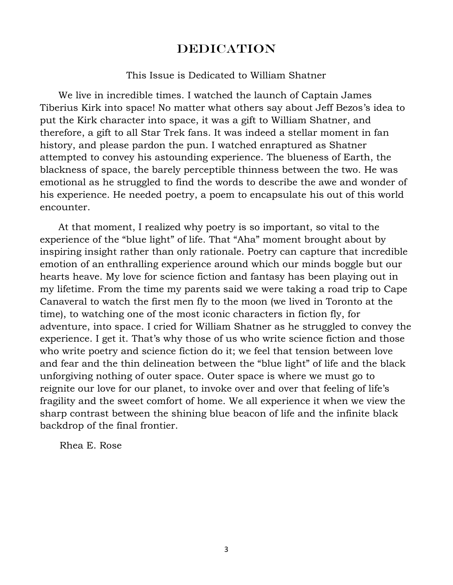## DEDICATION

#### This Issue is Dedicated to William Shatner

 We live in incredible times. I watched the launch of Captain James Tiberius Kirk into space! No matter what others say about Jeff Bezos's idea to put the Kirk character into space, it was a gift to William Shatner, and therefore, a gift to all Star Trek fans. It was indeed a stellar moment in fan history, and please pardon the pun. I watched enraptured as Shatner attempted to convey his astounding experience. The blueness of Earth, the blackness of space, the barely perceptible thinness between the two. He was emotional as he struggled to find the words to describe the awe and wonder of his experience. He needed poetry, a poem to encapsulate his out of this world encounter.

 At that moment, I realized why poetry is so important, so vital to the experience of the "blue light" of life. That "Aha" moment brought about by inspiring insight rather than only rationale. Poetry can capture that incredible emotion of an enthralling experience around which our minds boggle but our hearts heave. My love for science fiction and fantasy has been playing out in my lifetime. From the time my parents said we were taking a road trip to Cape Canaveral to watch the first men fly to the moon (we lived in Toronto at the time), to watching one of the most iconic characters in fiction fly, for adventure, into space. I cried for William Shatner as he struggled to convey the experience. I get it. That's why those of us who write science fiction and those who write poetry and science fiction do it; we feel that tension between love and fear and the thin delineation between the "blue light" of life and the black unforgiving nothing of outer space. Outer space is where we must go to reignite our love for our planet, to invoke over and over that feeling of life's fragility and the sweet comfort of home. We all experience it when we view the sharp contrast between the shining blue beacon of life and the infinite black backdrop of the final frontier.

Rhea E. Rose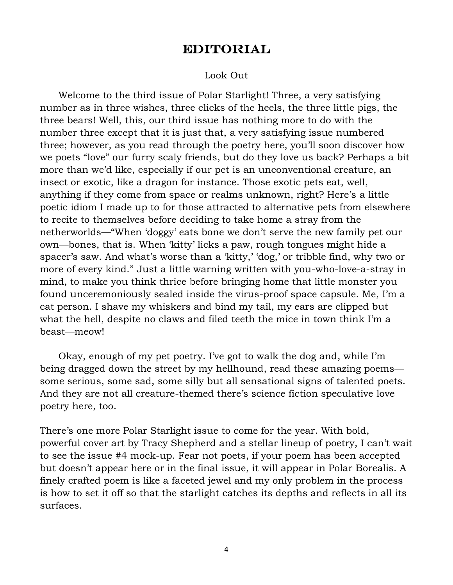## EDITORIAL

#### Look Out

 Welcome to the third issue of Polar Starlight! Three, a very satisfying number as in three wishes, three clicks of the heels, the three little pigs, the three bears! Well, this, our third issue has nothing more to do with the number three except that it is just that, a very satisfying issue numbered three; however, as you read through the poetry here, you'll soon discover how we poets "love" our furry scaly friends, but do they love us back? Perhaps a bit more than we'd like, especially if our pet is an unconventional creature, an insect or exotic, like a dragon for instance. Those exotic pets eat, well, anything if they come from space or realms unknown, right? Here's a little poetic idiom I made up to for those attracted to alternative pets from elsewhere to recite to themselves before deciding to take home a stray from the netherworlds—"When 'doggy' eats bone we don't serve the new family pet our own—bones, that is. When 'kitty' licks a paw, rough tongues might hide a spacer's saw. And what's worse than a 'kitty,' 'dog,' or tribble find, why two or more of every kind." Just a little warning written with you-who-love-a-stray in mind, to make you think thrice before bringing home that little monster you found unceremoniously sealed inside the virus-proof space capsule. Me, I'm a cat person. I shave my whiskers and bind my tail, my ears are clipped but what the hell, despite no claws and filed teeth the mice in town think I'm a beast—meow!

 Okay, enough of my pet poetry. I've got to walk the dog and, while I'm being dragged down the street by my hellhound, read these amazing poems some serious, some sad, some silly but all sensational signs of talented poets. And they are not all creature-themed there's science fiction speculative love poetry here, too.

There's one more Polar Starlight issue to come for the year. With bold, powerful cover art by Tracy Shepherd and a stellar lineup of poetry, I can't wait to see the issue #4 mock-up. Fear not poets, if your poem has been accepted but doesn't appear here or in the final issue, it will appear in Polar Borealis. A finely crafted poem is like a faceted jewel and my only problem in the process is how to set it off so that the starlight catches its depths and reflects in all its surfaces.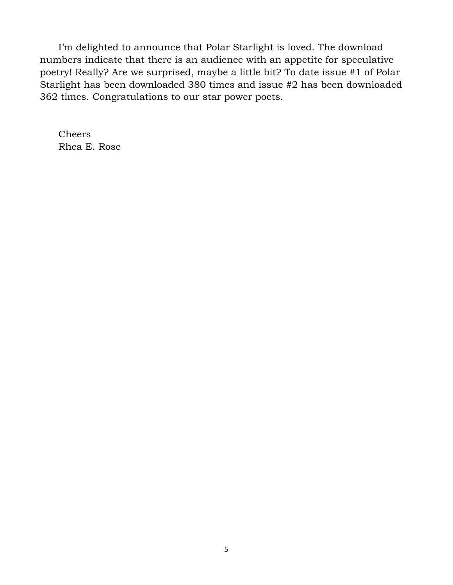I'm delighted to announce that Polar Starlight is loved. The download numbers indicate that there is an audience with an appetite for speculative poetry! Really? Are we surprised, maybe a little bit? To date issue #1 of Polar Starlight has been downloaded 380 times and issue #2 has been downloaded 362 times. Congratulations to our star power poets.

 Cheers Rhea E. Rose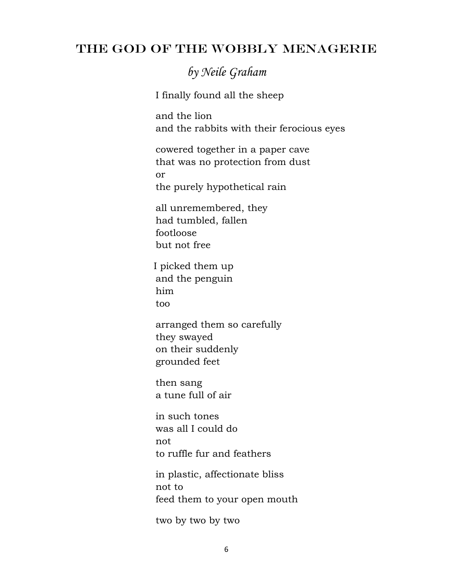## THE GOD OF THE WOBBLY MENAGERIE

*by Neile Graham*

I finally found all the sheep

 and the lion and the rabbits with their ferocious eyes

 cowered together in a paper cave that was no protection from dust or the purely hypothetical rain

 all unremembered, they had tumbled, fallen footloose but not free

 I picked them up and the penguin him too

 arranged them so carefully they swayed on their suddenly grounded feet

 then sang a tune full of air

 in such tones was all I could do not to ruffle fur and feathers

 in plastic, affectionate bliss not to feed them to your open mouth

two by two by two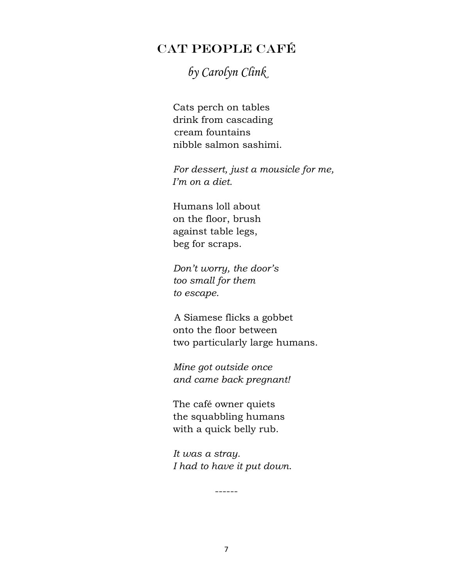## CAT PEOPLE CAFÉ

# *by Carolyn Clink*

Cats perch on tables drink from cascading cream fountains nibble salmon sashimi.

*For dessert, just a mousicle for me, I'm on a diet.*

Humans loll about on the floor, brush against table legs, beg for scraps.

*Don't worry, the door's too small for them to escape.*

 A Siamese flicks a gobbet onto the floor between two particularly large humans.

*Mine got outside once and came back pregnant!*

The café owner quiets the squabbling humans with a quick belly rub.

*It was a stray. I had to have it put down*.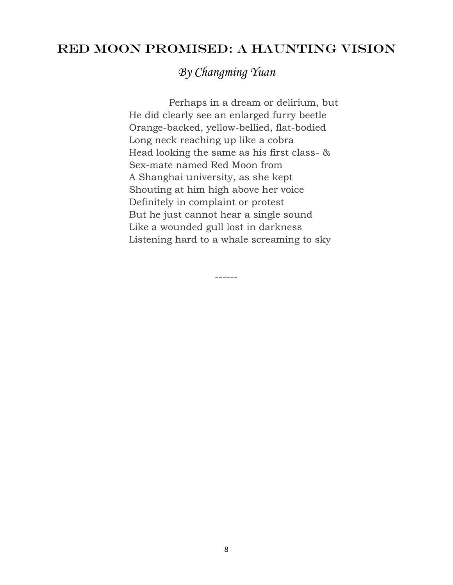## RED MOON PROMISED: A HAUNTING VISION

*By Changming Yuan*

 Perhaps in a dream or delirium, but He did clearly see an enlarged furry beetle Orange-backed, yellow-bellied, flat-bodied Long neck reaching up like a cobra Head looking the same as his first class- & Sex-mate named Red Moon from A Shanghai university, as she kept Shouting at him high above her voice Definitely in complaint or protest But he just cannot hear a single sound Like a wounded gull lost in darkness Listening hard to a whale screaming to sky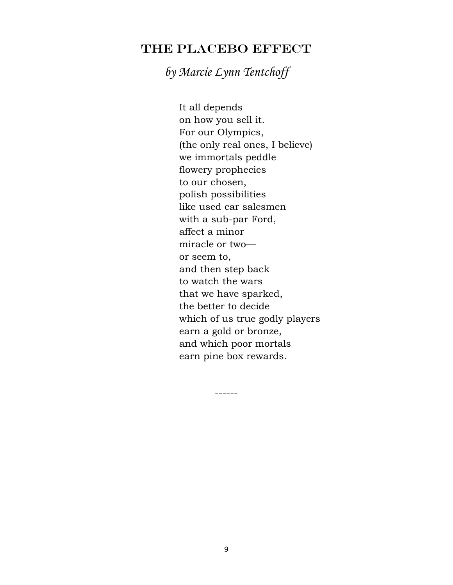## THE PLACEBO EFFECT

*by Marcie Lynn Tentchoff*

 It all depends on how you sell it. For our Olympics, (the only real ones, I believe) we immortals peddle flowery prophecies to our chosen, polish possibilities like used car salesmen with a sub-par Ford, affect a minor miracle or two or seem to, and then step back to watch the wars that we have sparked, the better to decide which of us true godly players earn a gold or bronze, and which poor mortals earn pine box rewards.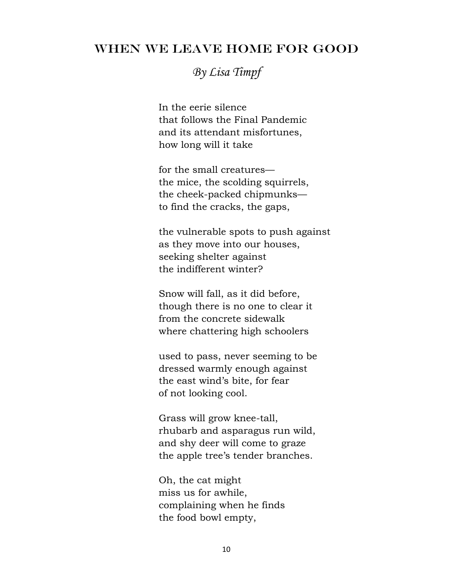### WHEN WE LEAVE HOME FOR GOOD

*By Lisa Timpf*

 In the eerie silence that follows the Final Pandemic and its attendant misfortunes, how long will it take

 for the small creatures the mice, the scolding squirrels, the cheek-packed chipmunks to find the cracks, the gaps,

 the vulnerable spots to push against as they move into our houses, seeking shelter against the indifferent winter?

 Snow will fall, as it did before, though there is no one to clear it from the concrete sidewalk where chattering high schoolers

 used to pass, never seeming to be dressed warmly enough against the east wind's bite, for fear of not looking cool.

 Grass will grow knee-tall, rhubarb and asparagus run wild, and shy deer will come to graze the apple tree's tender branches.

 Oh, the cat might miss us for awhile, complaining when he finds the food bowl empty,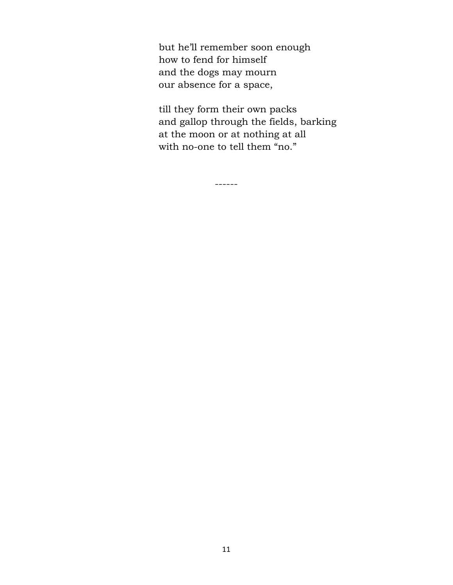but he'll remember soon enough how to fend for himself and the dogs may mourn our absence for a space,

 till they form their own packs and gallop through the fields, barking at the moon or at nothing at all with no-one to tell them "no."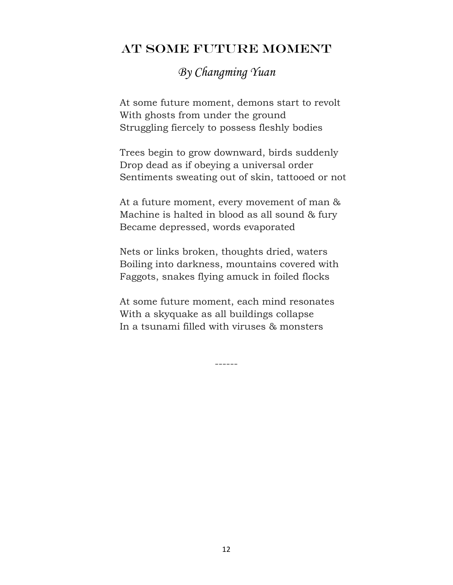## AT SOME FUTURE MOMENT

## *By Changming Yuan*

At some future moment, demons start to revolt With ghosts from under the ground Struggling fiercely to possess fleshly bodies

Trees begin to grow downward, birds suddenly Drop dead as if obeying a universal order Sentiments sweating out of skin, tattooed or not

At a future moment, every movement of man & Machine is halted in blood as all sound & fury Became depressed, words evaporated

Nets or links broken, thoughts dried, waters Boiling into darkness, mountains covered with Faggots, snakes flying amuck in foiled flocks

At some future moment, each mind resonates With a skyquake as all buildings collapse In a tsunami filled with viruses & monsters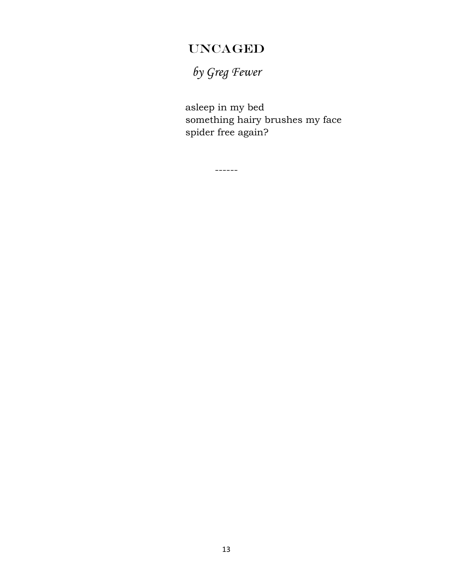# UNCAGED

*by Greg Fewer*

 asleep in my bed something hairy brushes my face spider free again?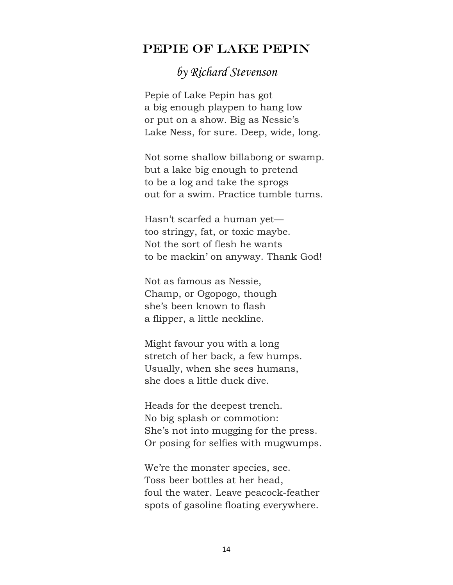#### PEPIE OF LAKE PEPIN

## *by Richard Stevenson*

 Pepie of Lake Pepin has got a big enough playpen to hang low or put on a show. Big as Nessie's Lake Ness, for sure. Deep, wide, long.

 Not some shallow billabong or swamp. but a lake big enough to pretend to be a log and take the sprogs out for a swim. Practice tumble turns.

 Hasn't scarfed a human yet too stringy, fat, or toxic maybe. Not the sort of flesh he wants to be mackin' on anyway. Thank God!

 Not as famous as Nessie, Champ, or Ogopogo, though she's been known to flash a flipper, a little neckline.

 Might favour you with a long stretch of her back, a few humps. Usually, when she sees humans, she does a little duck dive.

 Heads for the deepest trench. No big splash or commotion: She's not into mugging for the press. Or posing for selfies with mugwumps.

 We're the monster species, see. Toss beer bottles at her head, foul the water. Leave peacock-feather spots of gasoline floating everywhere.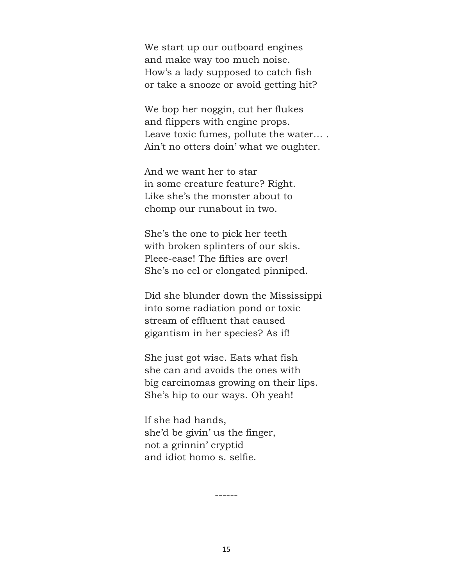We start up our outboard engines and make way too much noise. How's a lady supposed to catch fish or take a snooze or avoid getting hit?

 We bop her noggin, cut her flukes and flippers with engine props. Leave toxic fumes, pollute the water… . Ain't no otters doin' what we oughter.

 And we want her to star in some creature feature? Right. Like she's the monster about to chomp our runabout in two.

 She's the one to pick her teeth with broken splinters of our skis. Pleee-ease! The fifties are over! She's no eel or elongated pinniped.

 Did she blunder down the Mississippi into some radiation pond or toxic stream of effluent that caused gigantism in her species? As if!

 She just got wise. Eats what fish she can and avoids the ones with big carcinomas growing on their lips. She's hip to our ways. Oh yeah!

 If she had hands, she'd be givin' us the finger, not a grinnin' cryptid and idiot homo s. selfie.

15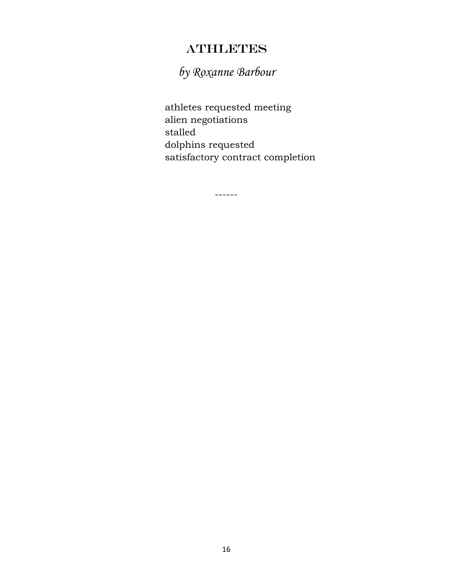## **ATHLETES**

*by Roxanne Barbour*

------

 athletes requested meeting alien negotiations stalled dolphins requested satisfactory contract completion

16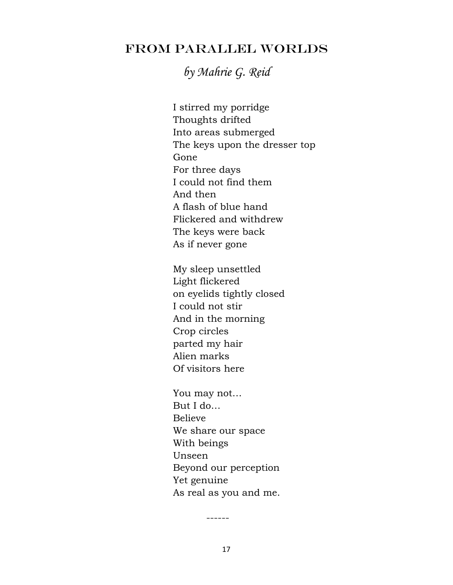## FROM PARALLEL WORLDS

*by Mahrie G. Reid*

I stirred my porridge Thoughts drifted Into areas submerged The keys upon the dresser top Gone For three days I could not find them And then A flash of blue hand Flickered and withdrew The keys were back As if never gone

My sleep unsettled Light flickered on eyelids tightly closed I could not stir And in the morning Crop circles parted my hair Alien marks Of visitors here

You may not… But I do… Believe We share our space With beings Unseen Beyond our perception Yet genuine As real as you and me.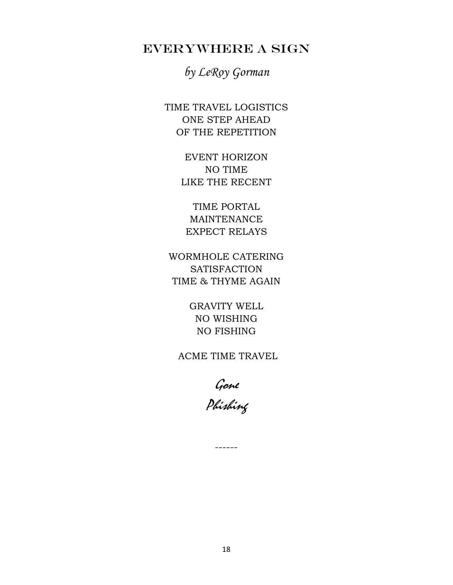## EVERYWHERE A SIGN

*by LeRoy Gorman*

TIME TRAVEL LOGISTICS ONE STEP AHEAD OF THE REPETITION

> EVENT HORIZON NO TIME LIKE THE RECENT

TIME PORTAL MAINTENANCE EXPECT RELAYS

WORMHOLE CATERING **SATISFACTION** TIME & THYME AGAIN

> GRAVITY WELL NO WISHING NO FISHING

ACME TIME TRAVEL

Gone Phishing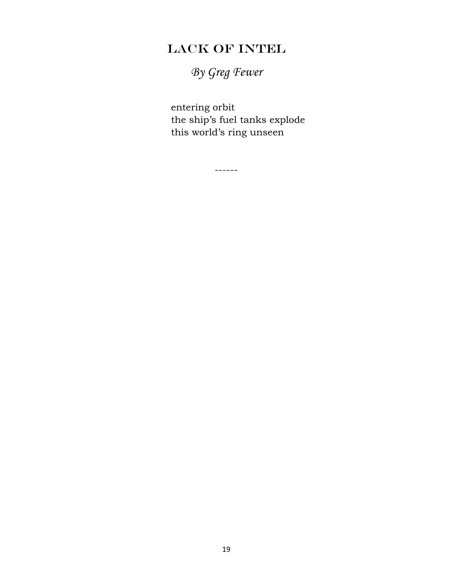# LACK OF INTEL

*By Greg Fewer*

 entering orbit the ship's fuel tanks explode this world's ring unseen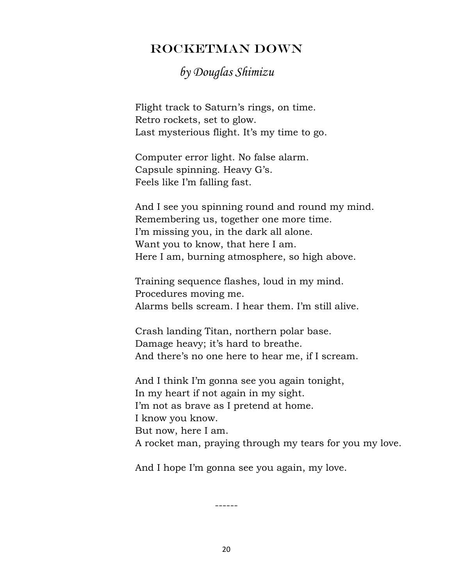## ROCKETMAN DOWN

## *by Douglas Shimizu*

 Flight track to Saturn's rings, on time. Retro rockets, set to glow. Last mysterious flight. It's my time to go.

 Computer error light. No false alarm. Capsule spinning. Heavy G's. Feels like I'm falling fast.

 And I see you spinning round and round my mind. Remembering us, together one more time. I'm missing you, in the dark all alone. Want you to know, that here I am. Here I am, burning atmosphere, so high above.

 Training sequence flashes, loud in my mind. Procedures moving me. Alarms bells scream. I hear them. I'm still alive.

 Crash landing Titan, northern polar base. Damage heavy; it's hard to breathe. And there's no one here to hear me, if I scream.

 And I think I'm gonna see you again tonight, In my heart if not again in my sight. I'm not as brave as I pretend at home. I know you know. But now, here I am. A rocket man, praying through my tears for you my love.

And I hope I'm gonna see you again, my love.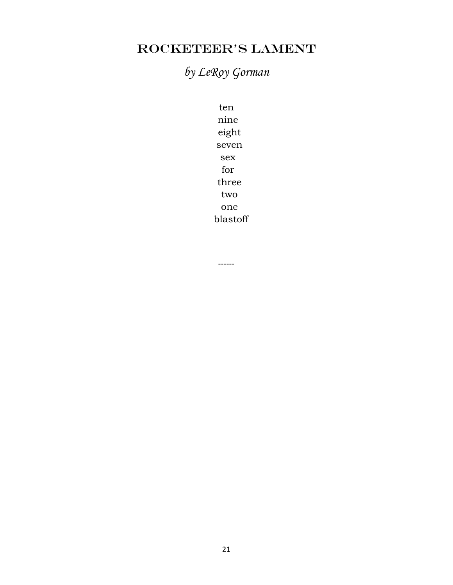# ROCKETEER'S LAMENT

# *by LeRoy Gorman*

ten nine eight seven sex for three two one blastoff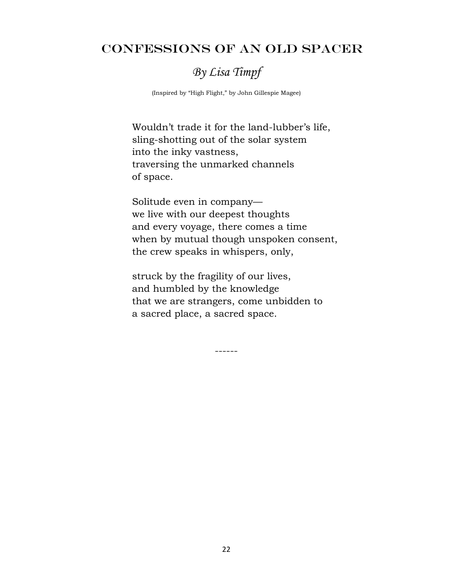### CONFESSIONS OF AN OLD SPACER

## *By Lisa Timpf*

(Inspired by "High Flight," by John Gillespie Magee)

 Wouldn't trade it for the land-lubber's life, sling-shotting out of the solar system into the inky vastness, traversing the unmarked channels of space.

 Solitude even in company we live with our deepest thoughts and every voyage, there comes a time when by mutual though unspoken consent, the crew speaks in whispers, only,

 struck by the fragility of our lives, and humbled by the knowledge that we are strangers, come unbidden to a sacred place, a sacred space.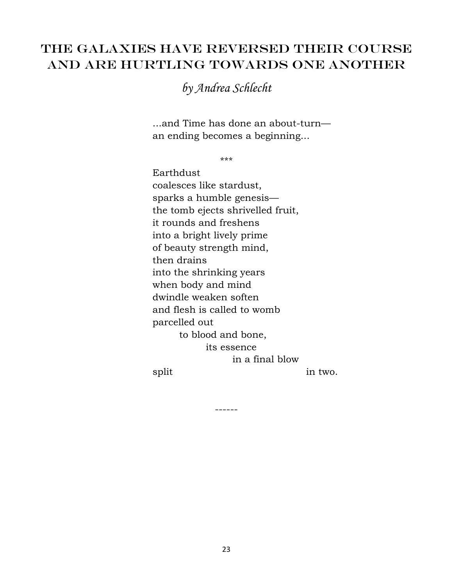## THE GALAXIES HAVE REVERSED THEIR COURSE AND ARE HURTLING TOWARDS ONE ANOTHER

*by Andrea Schlecht*

 ...and Time has done an about-turn an ending becomes a beginning...

\*\*\*

 Earthdust coalesces like stardust, sparks a humble genesis the tomb ejects shrivelled fruit, it rounds and freshens into a bright lively prime of beauty strength mind, then drains into the shrinking years when body and mind dwindle weaken soften and flesh is called to womb parcelled out to blood and bone, its essence in a final blow split in two.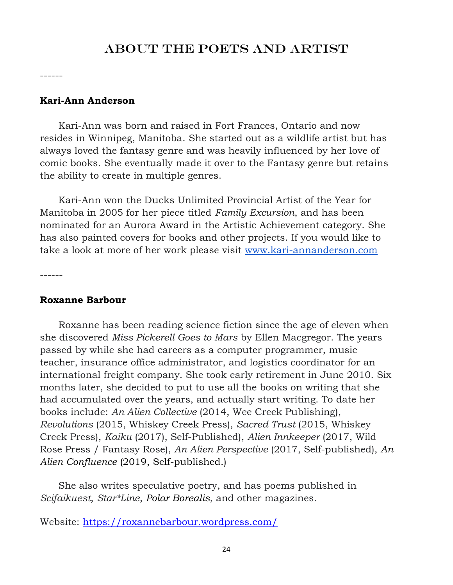#### ABOUT THE POETS AND ARTIST

------

#### **Kari-Ann Anderson**

 Kari-Ann was born and raised in Fort Frances, Ontario and now resides in Winnipeg, Manitoba. She started out as a wildlife artist but has always loved the fantasy genre and was heavily influenced by her love of comic books. She eventually made it over to the Fantasy genre but retains the ability to create in multiple genres.

 Kari-Ann won the Ducks Unlimited Provincial Artist of the Year for Manitoba in 2005 for her piece titled *Family Excursion*, and has been nominated for an Aurora Award in the Artistic Achievement category. She has also painted covers for books and other projects. If you would like to take a look at more of her work please visit [www.kari-annanderson.com](http://www.kari-annanderson.com/)

------

#### **Roxanne Barbour**

 Roxanne has been reading science fiction since the age of eleven when she discovered *Miss Pickerell Goes to Mars* by Ellen Macgregor. The years passed by while she had careers as a computer programmer, music teacher, insurance office administrator, and logistics coordinator for an international freight company. She took early retirement in June 2010. Six months later, she decided to put to use all the books on writing that she had accumulated over the years, and actually start writing. To date her books include: *An Alien Collective* (2014, Wee Creek Publishing), *Revolutions* (2015, Whiskey Creek Press), *Sacred Trust* (2015, Whiskey Creek Press), *Kaiku* (2017), Self-Published), *Alien Innkeeper* (2017, Wild Rose Press / Fantasy Rose), *An Alien Perspective* (2017, Self-published), *An Alien Confluence* (2019, Self-published.)

 She also writes speculative poetry, and has poems published in *Scifaikuest*, *Star\*Line*, *Polar Borealis*, and other magazines.

Website:<https://roxannebarbour.wordpress.com/>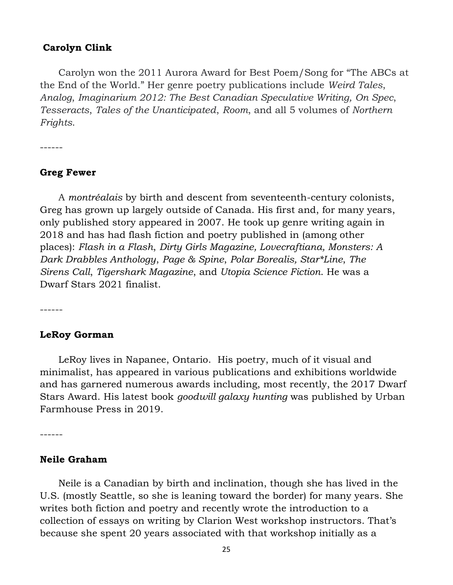#### **Carolyn Clink**

 Carolyn won the 2011 Aurora Award for Best Poem/Song for "The ABCs at the End of the World." Her genre poetry publications include *Weird Tales*, *Analog*, *Imaginarium 2012: The Best Canadian Speculative Writing, On Spec*, *Tesseracts*, *Tales of the Unanticipated*, *Room*, and all 5 volumes of *Northern Frights*.

------

#### **Greg Fewer**

 A *montréalais* by birth and descent from seventeenth-century colonists, Greg has grown up largely outside of Canada. His first and, for many years, only published story appeared in 2007. He took up genre writing again in 2018 and has had flash fiction and poetry published in (among other places): *Flash in a Flash*, *Dirty Girls Magazine, Lovecraftiana, Monsters: A Dark Drabbles Anthology*, *Page & Spine*, *Polar Borealis, Star\*Line*, *The Sirens Call*, *Tigershark Magazine*, and *Utopia Science Fiction*. He was a Dwarf Stars 2021 finalist.

------

#### **LeRoy Gorman**

 LeRoy lives in Napanee, Ontario. His poetry, much of it visual and minimalist, has appeared in various publications and exhibitions worldwide and has garnered numerous awards including, most recently, the 2017 Dwarf Stars Award. His latest book *goodwill galaxy hunting* was published by Urban Farmhouse Press in 2019.

------

#### **Neile Graham**

 Neile is a Canadian by birth and inclination, though she has lived in the U.S. (mostly Seattle, so she is leaning toward the border) for many years. She writes both fiction and poetry and recently wrote the introduction to a collection of essays on writing by Clarion West workshop instructors. That's because she spent 20 years associated with that workshop initially as a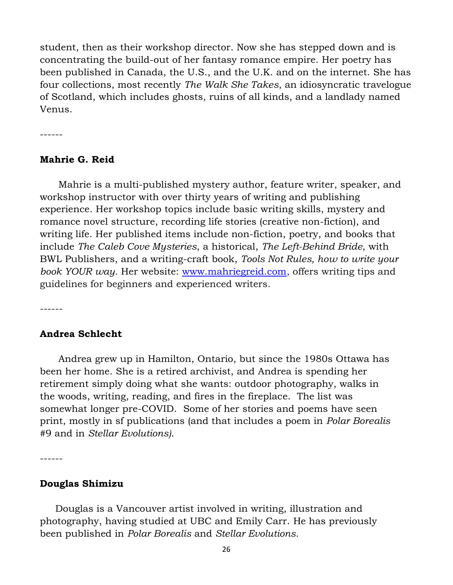student, then as their workshop director. Now she has stepped down and is concentrating the build-out of her fantasy romance empire. Her poetry has been published in Canada, the U.S., and the U.K. and on the internet. She has four collections, most recently *The Walk She Takes*, an idiosyncratic travelogue of Scotland, which includes ghosts, ruins of all kinds, and a landlady named Venus.

------

#### **Mahrie G. Reid**

 Mahrie is a multi-published mystery author, feature writer, speaker, and workshop instructor with over thirty years of writing and publishing experience. Her workshop topics include basic writing skills, mystery and romance novel structure, recording life stories (creative non-fiction), and writing life. Her published items include non-fiction, poetry, and books that include *The Caleb Cove Mysteries*, a historical, *The Left-Behind Bride*, with BWL Publishers, and a writing-craft book, *Tools Not Rules, how to write your book YOUR way.* Her website: [www.mahriegreid.com,](https://l.facebook.com/l.php?u=http%3A%2F%2Fwww.mahriegreid.com%2F&h=ATPXWkU5lq25FPL6LGNOS9PPj1VA2fqCEJhMQ_h1gu1116gjuMIfiWrc7WMHQC2mtIZwi3_sBdvJG9ngxGQbgpDkwJaSDLahiPZvWADoQ8qY9hGXowqKTcqMztNRNcFVblUBBrkzVWus1-8i0Z6CCN5zizA) offers writing tips and guidelines for beginners and experienced writers.

------

#### **Andrea Schlecht**

 Andrea grew up in Hamilton, Ontario, but since the 1980s Ottawa has been her home. She is a retired archivist, and Andrea is spending her retirement simply doing what she wants: outdoor photography, walks in the woods, writing, reading, and fires in the fireplace. The list was somewhat longer pre-COVID. Some of her stories and poems have seen print, mostly in sf publications (and that includes a poem in *Polar Borealis* #9 and in *Stellar Evolutions)*.

------

#### **Douglas Shimizu**

 Douglas is a Vancouver artist involved in writing, illustration and photography, having studied at UBC and Emily Carr. He has previously been published in *Polar Borealis* and *Stellar Evolutions*.